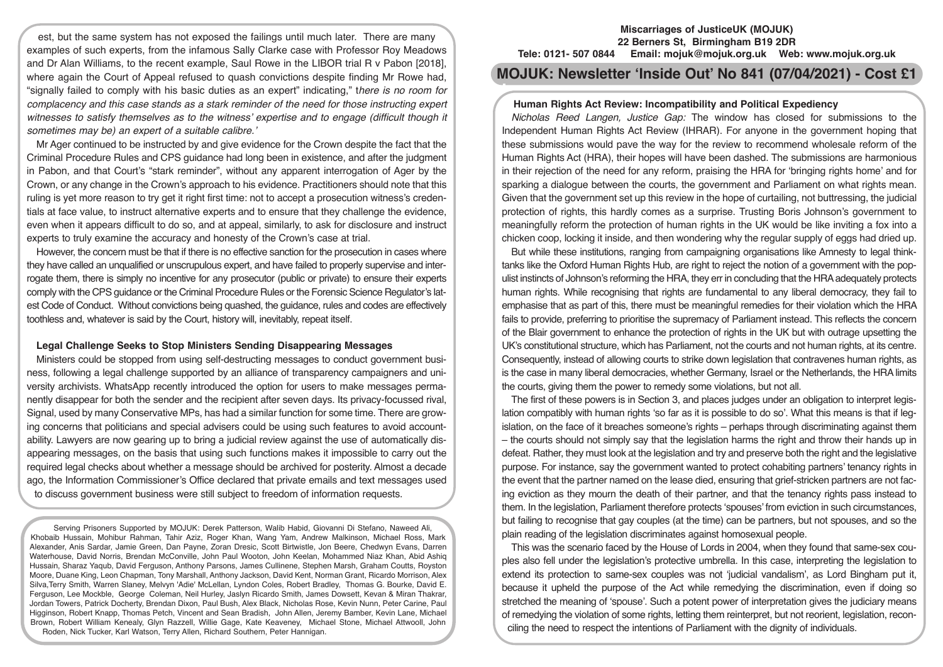est, but the same system has not exposed the failings until much later. There are many examples of such experts, from the infamous Sally Clarke case with Professor Roy Meadows and Dr Alan Williams, to the recent example, Saul Rowe in the LIBOR trial R v Pabon [2018], where again the Court of Appeal refused to quash convictions despite finding Mr Rowe had, "signally failed to comply with his basic duties as an expert" indicating," t*here is no room for complacency and this case stands as a stark reminder of the need for those instructing expert witnesses to satisfy themselves as to the witness' expertise and to engage (difficult though it sometimes may be) an expert of a suitable calibre.'*

Mr Ager continued to be instructed by and give evidence for the Crown despite the fact that the Criminal Procedure Rules and CPS guidance had long been in existence, and after the judgment in Pabon, and that Court's "stark reminder", without any apparent interrogation of Ager by the Crown, or any change in the Crown's approach to his evidence. Practitioners should note that this ruling is yet more reason to try get it right first time: not to accept a prosecution witness's credentials at face value, to instruct alternative experts and to ensure that they challenge the evidence, even when it appears difficult to do so, and at appeal, similarly, to ask for disclosure and instruct experts to truly examine the accuracy and honesty of the Crown's case at trial.

However, the concern must be that if there is no effective sanction for the prosecution in cases where they have called an unqualified or unscrupulous expert, and have failed to properly supervise and interrogate them, there is simply no incentive for any prosecutor (public or private) to ensure their experts comply with the CPS guidance or the Criminal Procedure Rules or the Forensic Science Regulator's latest Code of Conduct. Without convictions being quashed, the guidance, rules and codes are effectively toothless and, whatever is said by the Court, history will, inevitably, repeat itself.

## **Legal Challenge Seeks to Stop Ministers Sending Disappearing Messages**

Ministers could be stopped from using self-destructing messages to conduct government business, following a legal challenge supported by an alliance of transparency campaigners and university archivists. WhatsApp recently introduced the option for users to make messages permanently disappear for both the sender and the recipient after seven days. Its privacy-focussed rival, Signal, used by many Conservative MPs, has had a similar function for some time. There are growing concerns that politicians and special advisers could be using such features to avoid accountability. Lawyers are now gearing up to bring a judicial review against the use of automatically disappearing messages, on the basis that using such functions makes it impossible to carry out the required legal checks about whether a message should be archived for posterity. Almost a decade ago, the Information Commissioner's Office declared that private emails and text messages used to discuss government business were still subject to freedom of information requests.

Serving Prisoners Supported by MOJUK: Derek Patterson, Walib Habid, Giovanni Di Stefano, Naweed Ali, Khobaib Hussain, Mohibur Rahman, Tahir Aziz, Roger Khan, Wang Yam, Andrew Malkinson, Michael Ross, Mark Alexander, Anis Sardar, Jamie Green, Dan Payne, Zoran Dresic, Scott Birtwistle, Jon Beere, Chedwyn Evans, Darren Waterhouse, David Norris, Brendan McConville, John Paul Wooton, John Keelan, Mohammed Niaz Khan, Abid Ashiq Hussain, Sharaz Yaqub, David Ferguson, Anthony Parsons, James Cullinene, Stephen Marsh, Graham Coutts, Royston Moore, Duane King, Leon Chapman, Tony Marshall, Anthony Jackson, David Kent, Norman Grant, Ricardo Morrison, Alex Silva,Terry Smith, Warren Slaney, Melvyn 'Adie' McLellan, Lyndon Coles, Robert Bradley, Thomas G. Bourke, David E. Ferguson, Lee Mockble, George Coleman, Neil Hurley, Jaslyn Ricardo Smith, James Dowsett, Kevan & Miran Thakrar, Jordan Towers, Patrick Docherty, Brendan Dixon, Paul Bush, Alex Black, Nicholas Rose, Kevin Nunn, Peter Carine, Paul Higginson, Robert Knapp, Thomas Petch, Vincent and Sean Bradish, John Allen, Jeremy Bamber, Kevin Lane, Michael Brown, Robert William Kenealy, Glyn Razzell, Willie Gage, Kate Keaveney, Michael Stone, Michael Attwooll, John Roden, Nick Tucker, Karl Watson, Terry Allen, Richard Southern, Peter Hannigan.

### **Miscarriages of JusticeUK (MOJUK) 22 Berners St, Birmingham B19 2DR Tele: 0121- 507 0844 Email: mojuk@mojuk.org.uk Web: www.mojuk.org.uk**

# **MOJUK: Newsletter 'Inside Out' No 841 (07/04/2021) - Cost £1**

## **Human Rights Act Review: Incompatibility and Political Expediency**

*Nicholas Reed Langen, Justice Gap:* The window has closed for submissions to the Independent Human Rights Act Review (IHRAR). For anyone in the government hoping that these submissions would pave the way for the review to recommend wholesale reform of the Human Rights Act (HRA), their hopes will have been dashed. The submissions are harmonious in their rejection of the need for any reform, praising the HRA for 'bringing rights home' and for sparking a dialogue between the courts, the government and Parliament on what rights mean. Given that the government set up this review in the hope of curtailing, not buttressing, the judicial protection of rights, this hardly comes as a surprise. Trusting Boris Johnson's government to meaningfully reform the protection of human rights in the UK would be like inviting a fox into a chicken coop, locking it inside, and then wondering why the regular supply of eggs had dried up.

But while these institutions, ranging from campaigning organisations like Amnesty to legal thinktanks like the Oxford Human Rights Hub, are right to reject the notion of a government with the populist instincts of Johnson's reforming the HRA, they err in concluding that the HRA adequately protects human rights. While recognising that rights are fundamental to any liberal democracy, they fail to emphasise that as part of this, there must be meaningful remedies for their violation which the HRA fails to provide, preferring to prioritise the supremacy of Parliament instead. This reflects the concern of the Blair government to enhance the protection of rights in the UK but with outrage upsetting the UK's constitutional structure, which has Parliament, not the courts and not human rights, at its centre. Consequently, instead of allowing courts to strike down legislation that contravenes human rights, as is the case in many liberal democracies, whether Germany, Israel or the Netherlands, the HRA limits the courts, giving them the power to remedy some violations, but not all.

The first of these powers is in Section 3, and places judges under an obligation to interpret legislation compatibly with human rights 'so far as it is possible to do so'. What this means is that if legislation, on the face of it breaches someone's rights – perhaps through discriminating against them – the courts should not simply say that the legislation harms the right and throw their hands up in defeat. Rather, they must look at the legislation and try and preserve both the right and the legislative purpose. For instance, say the government wanted to protect cohabiting partners' tenancy rights in the event that the partner named on the lease died, ensuring that grief-stricken partners are not facing eviction as they mourn the death of their partner, and that the tenancy rights pass instead to them. In the legislation, Parliament therefore protects 'spouses' from eviction in such circumstances, but failing to recognise that gay couples (at the time) can be partners, but not spouses, and so the plain reading of the legislation discriminates against homosexual people.

This was the scenario faced by the House of Lords in 2004, when they found that same-sex couples also fell under the legislation's protective umbrella. In this case, interpreting the legislation to extend its protection to same-sex couples was not 'judicial vandalism', as Lord Bingham put it, because it upheld the purpose of the Act while remedying the discrimination, even if doing so stretched the meaning of 'spouse'. Such a potent power of interpretation gives the judiciary means of remedying the violation of some rights, letting them reinterpret, but not reorient, legislation, reconciling the need to respect the intentions of Parliament with the dignity of individuals.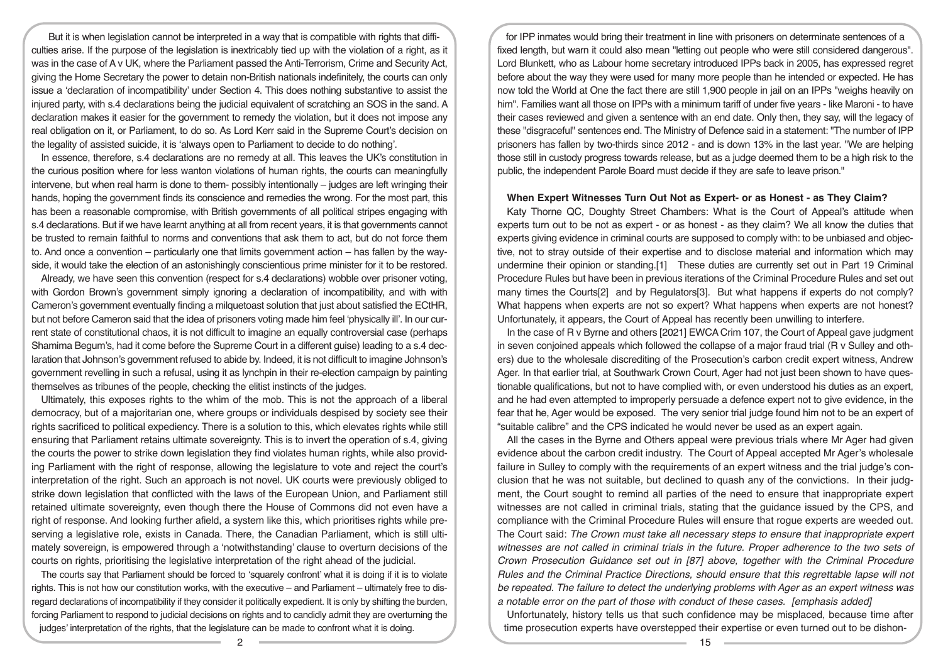But it is when legislation cannot be interpreted in a way that is compatible with rights that difficulties arise. If the purpose of the legislation is inextricably tied up with the violation of a right, as it was in the case of A v UK, where the Parliament passed the Anti-Terrorism, Crime and Security Act, giving the Home Secretary the power to detain non-British nationals indefinitely, the courts can only issue a 'declaration of incompatibility' under Section 4. This does nothing substantive to assist the injured party, with s.4 declarations being the judicial equivalent of scratching an SOS in the sand. A declaration makes it easier for the government to remedy the violation, but it does not impose any real obligation on it, or Parliament, to do so. As Lord Kerr said in the Supreme Court's decision on the legality of assisted suicide, it is 'always open to Parliament to decide to do nothing'.

In essence, therefore, s.4 declarations are no remedy at all. This leaves the UK's constitution in the curious position where for less wanton violations of human rights, the courts can meaningfully intervene, but when real harm is done to them- possibly intentionally – judges are left wringing their hands, hoping the government finds its conscience and remedies the wrong. For the most part, this has been a reasonable compromise, with British governments of all political stripes engaging with s.4 declarations. But if we have learnt anything at all from recent years, it is that governments cannot be trusted to remain faithful to norms and conventions that ask them to act, but do not force them to. And once a convention – particularly one that limits government action – has fallen by the wayside, it would take the election of an astonishingly conscientious prime minister for it to be restored.

Already, we have seen this convention (respect for s.4 declarations) wobble over prisoner voting, with Gordon Brown's government simply ignoring a declaration of incompatibility, and with with Cameron's government eventually finding a milquetoast solution that just about satisfied the ECtHR, but not before Cameron said that the idea of prisoners voting made him feel 'physically ill'. In our current state of constitutional chaos, it is not difficult to imagine an equally controversial case (perhaps Shamima Begum's, had it come before the Supreme Court in a different guise) leading to a s.4 declaration that Johnson's government refused to abide by. Indeed, it is not difficult to imagine Johnson's government revelling in such a refusal, using it as lynchpin in their re-election campaign by painting themselves as tribunes of the people, checking the elitist instincts of the judges.

Ultimately, this exposes rights to the whim of the mob. This is not the approach of a liberal democracy, but of a majoritarian one, where groups or individuals despised by society see their rights sacrificed to political expediency. There is a solution to this, which elevates rights while still ensuring that Parliament retains ultimate sovereignty. This is to invert the operation of s.4, giving the courts the power to strike down legislation they find violates human rights, while also providing Parliament with the right of response, allowing the legislature to vote and reject the court's interpretation of the right. Such an approach is not novel. UK courts were previously obliged to strike down legislation that conflicted with the laws of the European Union, and Parliament still retained ultimate sovereignty, even though there the House of Commons did not even have a right of response. And looking further afield, a system like this, which prioritises rights while preserving a legislative role, exists in Canada. There, the Canadian Parliament, which is still ultimately sovereign, is empowered through a 'notwithstanding' clause to overturn decisions of the courts on rights, prioritising the legislative interpretation of the right ahead of the judicial.

The courts say that Parliament should be forced to 'squarely confront' what it is doing if it is to violate rights. This is not how our constitution works, with the executive – and Parliament – ultimately free to disregard declarations of incompatibility if they consider it politically expedient. It is only by shifting the burden, forcing Parliament to respond to judicial decisions on rights and to candidly admit they are overturning the judges' interpretation of the rights, that the legislature can be made to confront what it is doing.

for IPP inmates would bring their treatment in line with prisoners on determinate sentences of a fixed length, but warn it could also mean "letting out people who were still considered dangerous". Lord Blunkett, who as Labour home secretary introduced IPPs back in 2005, has expressed regret before about the way they were used for many more people than he intended or expected. He has now told the World at One the fact there are still 1,900 people in jail on an IPPs "weighs heavily on him". Families want all those on IPPs with a minimum tariff of under five years - like Maroni - to have their cases reviewed and given a sentence with an end date. Only then, they say, will the legacy of these "disgraceful" sentences end. The Ministry of Defence said in a statement: "The number of IPP prisoners has fallen by two-thirds since 2012 - and is down 13% in the last year. "We are helping those still in custody progress towards release, but as a judge deemed them to be a high risk to the public, the independent Parole Board must decide if they are safe to leave prison."

## **When Expert Witnesses Turn Out Not as Expert- or as Honest - as They Claim?**

Katy Thorne QC, Doughty Street Chambers: What is the Court of Appeal's attitude when experts turn out to be not as expert - or as honest - as they claim? We all know the duties that experts giving evidence in criminal courts are supposed to comply with: to be unbiased and objective, not to stray outside of their expertise and to disclose material and information which may undermine their opinion or standing.[1] These duties are currently set out in Part 19 Criminal Procedure Rules but have been in previous iterations of the Criminal Procedure Rules and set out many times the Courts[2] and by Regulators[3]. But what happens if experts do not comply? What happens when experts are not so expert? What happens when experts are not honest? Unfortunately, it appears, the Court of Appeal has recently been unwilling to interfere.

In the case of R v Byrne and others [2021] EWCA Crim 107, the Court of Appeal gave judgment in seven conjoined appeals which followed the collapse of a major fraud trial (R v Sulley and others) due to the wholesale discrediting of the Prosecution's carbon credit expert witness, Andrew Ager. In that earlier trial, at Southwark Crown Court, Ager had not just been shown to have questionable qualifications, but not to have complied with, or even understood his duties as an expert, and he had even attempted to improperly persuade a defence expert not to give evidence, in the fear that he, Ager would be exposed. The very senior trial judge found him not to be an expert of "suitable calibre" and the CPS indicated he would never be used as an expert again.

All the cases in the Byrne and Others appeal were previous trials where Mr Ager had given evidence about the carbon credit industry. The Court of Appeal accepted Mr Ager's wholesale failure in Sulley to comply with the requirements of an expert witness and the trial judge's conclusion that he was not suitable, but declined to quash any of the convictions. In their judgment, the Court sought to remind all parties of the need to ensure that inappropriate expert witnesses are not called in criminal trials, stating that the guidance issued by the CPS, and compliance with the Criminal Procedure Rules will ensure that rogue experts are weeded out. The Court said: *The Crown must take all necessary steps to ensure that inappropriate expert witnesses are not called in criminal trials in the future. Proper adherence to the two sets of Crown Prosecution Guidance set out in [87] above, together with the Criminal Procedure Rules and the Criminal Practice Directions, should ensure that this regrettable lapse will not be repeated. The failure to detect the underlying problems with Ager as an expert witness was a notable error on the part of those with conduct of these cases. [emphasis added]*

Unfortunately, history tells us that such confidence may be misplaced, because time after time prosecution experts have overstepped their expertise or even turned out to be dishon-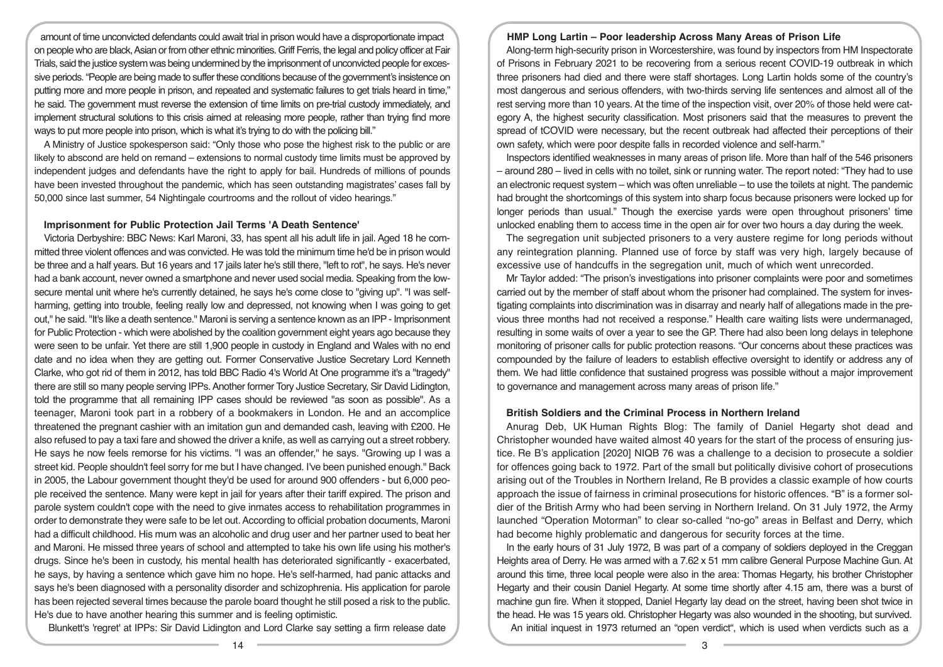amount of time unconvicted defendants could await trial in prison would have a disproportionate impact on people who are black, Asian or from other ethnic minorities. Griff Ferris, the legal and policy officer at Fair Trials, said the justice system was being undermined by the imprisonment of unconvicted people for excessive periods. "People are being made to suffer these conditions because of the government's insistence on putting more and more people in prison, and repeated and systematic failures to get trials heard in time," he said. The government must reverse the extension of time limits on pre-trial custody immediately, and implement structural solutions to this crisis aimed at releasing more people, rather than trying find more ways to put more people into prison, which is what it's trying to do with the policing bill."

A Ministry of Justice spokesperson said: "Only those who pose the highest risk to the public or are likely to abscond are held on remand – extensions to normal custody time limits must be approved by independent judges and defendants have the right to apply for bail. Hundreds of millions of pounds have been invested throughout the pandemic, which has seen outstanding magistrates' cases fall by 50,000 since last summer, 54 Nightingale courtrooms and the rollout of video hearings."

## **Imprisonment for Public Protection Jail Terms 'A Death Sentence'**

Victoria Derbyshire: BBC News: Karl Maroni, 33, has spent all his adult life in jail. Aged 18 he committed three violent offences and was convicted. He was told the minimum time he'd be in prison would be three and a half years. But 16 years and 17 jails later he's still there, "left to rot", he says. He's never had a bank account, never owned a smartphone and never used social media. Speaking from the lowsecure mental unit where he's currently detained, he says he's come close to "giving up". "I was selfharming, getting into trouble, feeling really low and depressed, not knowing when I was going to get out," he said. "It's like a death sentence." Maroni is serving a sentence known as an IPP - Imprisonment for Public Protection - which were abolished by the coalition government eight years ago because they were seen to be unfair. Yet there are still 1,900 people in custody in England and Wales with no end date and no idea when they are getting out. Former Conservative Justice Secretary Lord Kenneth Clarke, who got rid of them in 2012, has told BBC Radio 4's World At One programme it's a "tragedy" there are still so many people serving IPPs. Another former Tory Justice Secretary, Sir David Lidington, told the programme that all remaining IPP cases should be reviewed "as soon as possible". As a teenager, Maroni took part in a robbery of a bookmakers in London. He and an accomplice threatened the pregnant cashier with an imitation gun and demanded cash, leaving with £200. He also refused to pay a taxi fare and showed the driver a knife, as well as carrying out a street robbery. He says he now feels remorse for his victims. "I was an offender," he says. "Growing up I was a street kid. People shouldn't feel sorry for me but I have changed. I've been punished enough." Back in 2005, the Labour government thought they'd be used for around 900 offenders - but 6,000 people received the sentence. Many were kept in jail for years after their tariff expired. The prison and parole system couldn't cope with the need to give inmates access to rehabilitation programmes in order to demonstrate they were safe to be let out. According to official probation documents, Maroni had a difficult childhood. His mum was an alcoholic and drug user and her partner used to beat her and Maroni. He missed three years of school and attempted to take his own life using his mother's drugs. Since he's been in custody, his mental health has deteriorated significantly - exacerbated, he says, by having a sentence which gave him no hope. He's self-harmed, had panic attacks and says he's been diagnosed with a personality disorder and schizophrenia. His application for parole has been rejected several times because the parole board thought he still posed a risk to the public. He's due to have another hearing this summer and is feeling optimistic.

Blunkett's 'regret' at IPPs: Sir David Lidington and Lord Clarke say setting a firm release date

#### **HMP Long Lartin – Poor leadership Across Many Areas of Prison Life**

Along-term high-security prison in Worcestershire, was found by inspectors from HM Inspectorate of Prisons in February 2021 to be recovering from a serious recent COVID-19 outbreak in which three prisoners had died and there were staff shortages. Long Lartin holds some of the country's most dangerous and serious offenders, with two-thirds serving life sentences and almost all of the rest serving more than 10 years. At the time of the inspection visit, over 20% of those held were category A, the highest security classification. Most prisoners said that the measures to prevent the spread of tCOVID were necessary, but the recent outbreak had affected their perceptions of their own safety, which were poor despite falls in recorded violence and self-harm."

Inspectors identified weaknesses in many areas of prison life. More than half of the 546 prisoners – around 280 – lived in cells with no toilet, sink or running water. The report noted: "They had to use an electronic request system – which was often unreliable – to use the toilets at night. The pandemic had brought the shortcomings of this system into sharp focus because prisoners were locked up for longer periods than usual." Though the exercise yards were open throughout prisoners' time unlocked enabling them to access time in the open air for over two hours a day during the week.

The segregation unit subjected prisoners to a very austere regime for long periods without any reintegration planning. Planned use of force by staff was very high, largely because of excessive use of handcuffs in the segregation unit, much of which went unrecorded.

Mr Taylor added: "The prison's investigations into prisoner complaints were poor and sometimes carried out by the member of staff about whom the prisoner had complained. The system for investigating complaints into discrimination was in disarray and nearly half of allegations made in the previous three months had not received a response." Health care waiting lists were undermanaged, resulting in some waits of over a year to see the GP. There had also been long delays in telephone monitoring of prisoner calls for public protection reasons. "Our concerns about these practices was compounded by the failure of leaders to establish effective oversight to identify or address any of them. We had little confidence that sustained progress was possible without a major improvement to governance and management across many areas of prison life."

## **British Soldiers and the Criminal Process in Northern Ireland**

Anurag Deb, UK Human Rights Blog: The family of Daniel Hegarty shot dead and Christopher wounded have waited almost 40 years for the start of the process of ensuring justice. Re B's application [2020] NIQB 76 was a challenge to a decision to prosecute a soldier for offences going back to 1972. Part of the small but politically divisive cohort of prosecutions arising out of the Troubles in Northern Ireland, Re B provides a classic example of how courts approach the issue of fairness in criminal prosecutions for historic offences. "B" is a former soldier of the British Army who had been serving in Northern Ireland. On 31 July 1972, the Army launched "Operation Motorman" to clear so-called "no-go" areas in Belfast and Derry, which had become highly problematic and dangerous for security forces at the time.

In the early hours of 31 July 1972, B was part of a company of soldiers deployed in the Creggan Heights area of Derry. He was armed with a 7.62 x 51 mm calibre General Purpose Machine Gun. At around this time, three local people were also in the area: Thomas Hegarty, his brother Christopher Hegarty and their cousin Daniel Hegarty. At some time shortly after 4.15 am, there was a burst of machine gun fire. When it stopped, Daniel Hegarty lay dead on the street, having been shot twice in the head. He was 15 years old. Christopher Hegarty was also wounded in the shooting, but survived.

An initial inquest in 1973 returned an "open verdict", which is used when verdicts such as a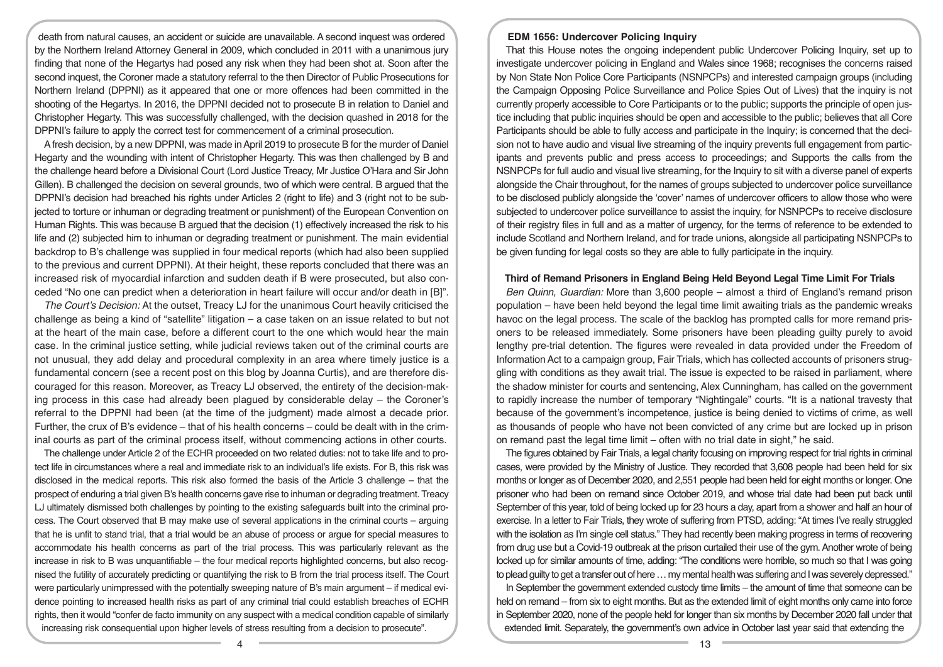death from natural causes, an accident or suicide are unavailable. A second inquest was ordered by the Northern Ireland Attorney General in 2009, which concluded in 2011 with a unanimous jury finding that none of the Hegartys had posed any risk when they had been shot at. Soon after the second inquest, the Coroner made a statutory referral to the then Director of Public Prosecutions for Northern Ireland (DPPNI) as it appeared that one or more offences had been committed in the shooting of the Hegartys. In 2016, the DPPNI decided not to prosecute B in relation to Daniel and Christopher Hegarty. This was successfully challenged, with the decision quashed in 2018 for the DPPNI's failure to apply the correct test for commencement of a criminal prosecution.

A fresh decision, by a new DPPNI, was made in April 2019 to prosecute B for the murder of Daniel Hegarty and the wounding with intent of Christopher Hegarty. This was then challenged by B and the challenge heard before a Divisional Court (Lord Justice Treacy, Mr Justice O'Hara and Sir John Gillen). B challenged the decision on several grounds, two of which were central. B argued that the DPPNI's decision had breached his rights under Articles 2 (right to life) and 3 (right not to be subjected to torture or inhuman or degrading treatment or punishment) of the European Convention on Human Rights. This was because B argued that the decision (1) effectively increased the risk to his life and (2) subjected him to inhuman or degrading treatment or punishment. The main evidential backdrop to B's challenge was supplied in four medical reports (which had also been supplied to the previous and current DPPNI). At their height, these reports concluded that there was an increased risk of myocardial infarction and sudden death if B were prosecuted, but also conceded "No one can predict when a deterioration in heart failure will occur and/or death in [B]".

*The Court's Decision:* At the outset, Treacy LJ for the unanimous Court heavily criticised the challenge as being a kind of "satellite" litigation – a case taken on an issue related to but not at the heart of the main case, before a different court to the one which would hear the main case. In the criminal justice setting, while judicial reviews taken out of the criminal courts are not unusual, they add delay and procedural complexity in an area where timely justice is a fundamental concern (see a recent post on this blog by Joanna Curtis), and are therefore discouraged for this reason. Moreover, as Treacy LJ observed, the entirety of the decision-making process in this case had already been plagued by considerable delay – the Coroner's referral to the DPPNI had been (at the time of the judgment) made almost a decade prior. Further, the crux of B's evidence – that of his health concerns – could be dealt with in the criminal courts as part of the criminal process itself, without commencing actions in other courts.

The challenge under Article 2 of the ECHR proceeded on two related duties: not to take life and to protect life in circumstances where a real and immediate risk to an individual's life exists. For B, this risk was disclosed in the medical reports. This risk also formed the basis of the Article 3 challenge – that the prospect of enduring a trial given B's health concerns gave rise to inhuman or degrading treatment. Treacy LJ ultimately dismissed both challenges by pointing to the existing safeguards built into the criminal process. The Court observed that B may make use of several applications in the criminal courts – arguing that he is unfit to stand trial, that a trial would be an abuse of process or argue for special measures to accommodate his health concerns as part of the trial process. This was particularly relevant as the increase in risk to B was unquantifiable – the four medical reports highlighted concerns, but also recognised the futility of accurately predicting or quantifying the risk to B from the trial process itself. The Court were particularly unimpressed with the potentially sweeping nature of B's main argument – if medical evidence pointing to increased health risks as part of any criminal trial could establish breaches of ECHR rights, then it would "confer de facto immunity on any suspect with a medical condition capable of similarly increasing risk consequential upon higher levels of stress resulting from a decision to prosecute".

## **EDM 1656: Undercover Policing Inquiry**

That this House notes the ongoing independent public Undercover Policing Inquiry, set up to investigate undercover policing in England and Wales since 1968; recognises the concerns raised by Non State Non Police Core Participants (NSNPCPs) and interested campaign groups (including the Campaign Opposing Police Surveillance and Police Spies Out of Lives) that the inquiry is not currently properly accessible to Core Participants or to the public; supports the principle of open justice including that public inquiries should be open and accessible to the public; believes that all Core Participants should be able to fully access and participate in the Inquiry; is concerned that the decision not to have audio and visual live streaming of the inquiry prevents full engagement from participants and prevents public and press access to proceedings; and Supports the calls from the NSNPCPs for full audio and visual live streaming, for the Inquiry to sit with a diverse panel of experts alongside the Chair throughout, for the names of groups subjected to undercover police surveillance to be disclosed publicly alongside the 'cover' names of undercover officers to allow those who were subjected to undercover police surveillance to assist the inquiry, for NSNPCPs to receive disclosure of their registry files in full and as a matter of urgency, for the terms of reference to be extended to include Scotland and Northern Ireland, and for trade unions, alongside all participating NSNPCPs to be given funding for legal costs so they are able to fully participate in the inquiry.

## **Third of Remand Prisoners in England Being Held Beyond Legal Time Limit For Trials**

*Ben Quinn, Guardian:* More than 3,600 people – almost a third of England's remand prison population – have been held beyond the legal time limit awaiting trials as the pandemic wreaks havoc on the legal process. The scale of the backlog has prompted calls for more remand prisoners to be released immediately. Some prisoners have been pleading guilty purely to avoid lengthy pre-trial detention. The figures were revealed in data provided under the Freedom of Information Act to a campaign group, Fair Trials, which has collected accounts of prisoners struggling with conditions as they await trial. The issue is expected to be raised in parliament, where the shadow minister for courts and sentencing, Alex Cunningham, has called on the government to rapidly increase the number of temporary "Nightingale" courts. "It is a national travesty that because of the government's incompetence, justice is being denied to victims of crime, as well as thousands of people who have not been convicted of any crime but are locked up in prison on remand past the legal time limit – often with no trial date in sight," he said.

The figures obtained by Fair Trials, a legal charity focusing on improving respect for trial rights in criminal cases, were provided by the Ministry of Justice. They recorded that 3,608 people had been held for six months or longer as of December 2020, and 2,551 people had been held for eight months or longer. One prisoner who had been on remand since October 2019, and whose trial date had been put back until September of this year, told of being locked up for 23 hours a day, apart from a shower and half an hour of exercise. In a letter to Fair Trials, they wrote of suffering from PTSD, adding: "At times I've really struggled with the isolation as I'm single cell status." They had recently been making progress in terms of recovering from drug use but a Covid-19 outbreak at the prison curtailed their use of the gym. Another wrote of being locked up for similar amounts of time, adding: "The conditions were horrible, so much so that I was going to plead guilty to get a transfer out of here … my mental health was suffering and I was severely depressed."

In September the government extended custody time limits – the amount of time that someone can be held on remand – from six to eight months. But as the extended limit of eight months only came into force in September 2020, none of the people held for longer than six months by December 2020 fall under that extended limit. Separately, the government's own advice in October last year said that extending the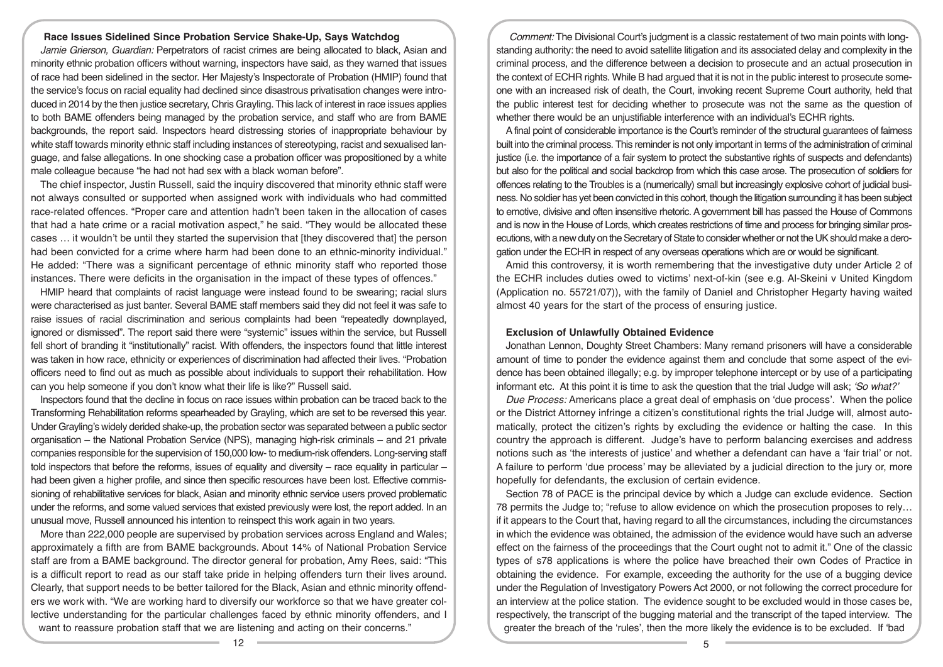## **Race Issues Sidelined Since Probation Service Shake-Up, Says Watchdog**

*Jamie Grierson, Guardian:* Perpetrators of racist crimes are being allocated to black, Asian and minority ethnic probation officers without warning, inspectors have said, as they warned that issues of race had been sidelined in the sector. Her Majesty's Inspectorate of Probation (HMIP) found that the service's focus on racial equality had declined since disastrous privatisation changes were introduced in 2014 by the then justice secretary, Chris Grayling. This lack of interest in race issues applies to both BAME offenders being managed by the probation service, and staff who are from BAME backgrounds, the report said. Inspectors heard distressing stories of inappropriate behaviour by white staff towards minority ethnic staff including instances of stereotyping, racist and sexualised language, and false allegations. In one shocking case a probation officer was propositioned by a white male colleague because "he had not had sex with a black woman before".

The chief inspector, Justin Russell, said the inquiry discovered that minority ethnic staff were not always consulted or supported when assigned work with individuals who had committed race-related offences. "Proper care and attention hadn't been taken in the allocation of cases that had a hate crime or a racial motivation aspect," he said. "They would be allocated these cases … it wouldn't be until they started the supervision that [they discovered that] the person had been convicted for a crime where harm had been done to an ethnic-minority individual." He added: "There was a significant percentage of ethnic minority staff who reported those instances. There were deficits in the organisation in the impact of these types of offences."

HMIP heard that complaints of racist language were instead found to be swearing; racial slurs were characterised as just banter. Several BAME staff members said they did not feel it was safe to raise issues of racial discrimination and serious complaints had been "repeatedly downplayed, ignored or dismissed". The report said there were "systemic" issues within the service, but Russell fell short of branding it "institutionally" racist. With offenders, the inspectors found that little interest was taken in how race, ethnicity or experiences of discrimination had affected their lives. "Probation officers need to find out as much as possible about individuals to support their rehabilitation. How can you help someone if you don't know what their life is like?" Russell said.

Inspectors found that the decline in focus on race issues within probation can be traced back to the Transforming Rehabilitation reforms spearheaded by Grayling, which are set to be reversed this year. Under Grayling's widely derided shake-up, the probation sector was separated between a public sector organisation – the National Probation Service (NPS), managing high-risk criminals – and 21 private companies responsible for the supervision of 150,000 low- to medium-risk offenders. Long-serving staff told inspectors that before the reforms, issues of equality and diversity – race equality in particular – had been given a higher profile, and since then specific resources have been lost. Effective commissioning of rehabilitative services for black, Asian and minority ethnic service users proved problematic under the reforms, and some valued services that existed previously were lost, the report added. In an unusual move, Russell announced his intention to reinspect this work again in two years.

More than 222,000 people are supervised by probation services across England and Wales; approximately a fifth are from BAME backgrounds. About 14% of National Probation Service staff are from a BAME background. The director general for probation, Amy Rees, said: "This is a difficult report to read as our staff take pride in helping offenders turn their lives around. Clearly, that support needs to be better tailored for the Black, Asian and ethnic minority offenders we work with. "We are working hard to diversify our workforce so that we have greater collective understanding for the particular challenges faced by ethnic minority offenders, and I want to reassure probation staff that we are listening and acting on their concerns."

*Comment:* The Divisional Court's judgment is a classic restatement of two main points with longstanding authority: the need to avoid satellite litigation and its associated delay and complexity in the criminal process, and the difference between a decision to prosecute and an actual prosecution in the context of ECHR rights. While B had argued that it is not in the public interest to prosecute someone with an increased risk of death, the Court, invoking recent Supreme Court authority, held that the public interest test for deciding whether to prosecute was not the same as the question of whether there would be an unjustifiable interference with an individual's ECHR rights.

A final point of considerable importance is the Court's reminder of the structural guarantees of fairness built into the criminal process. This reminder is not only important in terms of the administration of criminal justice (i.e. the importance of a fair system to protect the substantive rights of suspects and defendants) but also for the political and social backdrop from which this case arose. The prosecution of soldiers for offences relating to the Troubles is a (numerically) small but increasingly explosive cohort of judicial business. No soldier has yet been convicted in this cohort, though the litigation surrounding it has been subject to emotive, divisive and often insensitive rhetoric. A government bill has passed the House of Commons and is now in the House of Lords, which creates restrictions of time and process for bringing similar prosecutions, with a new duty on the Secretary of State to consider whether or not the UK should make a derogation under the ECHR in respect of any overseas operations which are or would be significant.

Amid this controversy, it is worth remembering that the investigative duty under Article 2 of the ECHR includes duties owed to victims' next-of-kin (see e.g. Al-Skeini v United Kingdom (Application no. 55721/07)), with the family of Daniel and Christopher Hegarty having waited almost 40 years for the start of the process of ensuring justice.

#### **Exclusion of Unlawfully Obtained Evidence**

Jonathan Lennon, Doughty Street Chambers: Many remand prisoners will have a considerable amount of time to ponder the evidence against them and conclude that some aspect of the evidence has been obtained illegally; e.g. by improper telephone intercept or by use of a participating informant etc. At this point it is time to ask the question that the trial Judge will ask; *'So what?'* 

*Due Process:* Americans place a great deal of emphasis on 'due process'. When the police or the District Attorney infringe a citizen's constitutional rights the trial Judge will, almost automatically, protect the citizen's rights by excluding the evidence or halting the case. In this country the approach is different. Judge's have to perform balancing exercises and address notions such as 'the interests of justice' and whether a defendant can have a 'fair trial' or not. A failure to perform 'due process' may be alleviated by a judicial direction to the jury or, more hopefully for defendants, the exclusion of certain evidence.

Section 78 of PACE is the principal device by which a Judge can exclude evidence. Section 78 permits the Judge to; "refuse to allow evidence on which the prosecution proposes to rely… if it appears to the Court that, having regard to all the circumstances, including the circumstances in which the evidence was obtained, the admission of the evidence would have such an adverse effect on the fairness of the proceedings that the Court ought not to admit it." One of the classic types of s78 applications is where the police have breached their own Codes of Practice in obtaining the evidence. For example, exceeding the authority for the use of a bugging device under the Regulation of Investigatory Powers Act 2000, or not following the correct procedure for an interview at the police station. The evidence sought to be excluded would in those cases be, respectively, the transcript of the bugging material and the transcript of the taped interview. The greater the breach of the 'rules', then the more likely the evidence is to be excluded. If 'bad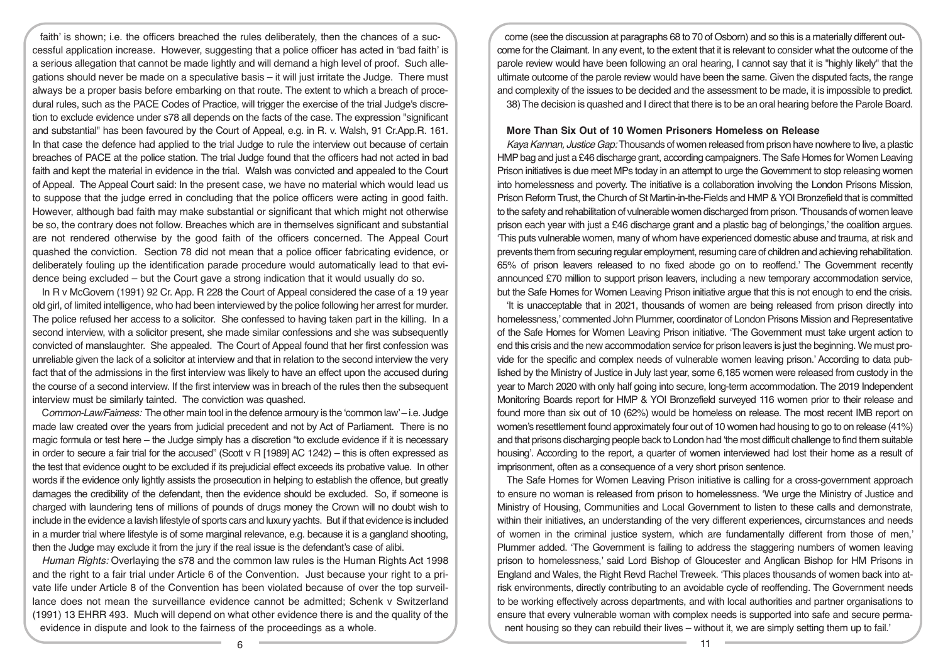faith' is shown; i.e. the officers breached the rules deliberately, then the chances of a successful application increase. However, suggesting that a police officer has acted in 'bad faith' is a serious allegation that cannot be made lightly and will demand a high level of proof. Such allegations should never be made on a speculative basis – it will just irritate the Judge. There must always be a proper basis before embarking on that route. The extent to which a breach of procedural rules, such as the PACE Codes of Practice, will trigger the exercise of the trial Judge's discretion to exclude evidence under s78 all depends on the facts of the case. The expression "significant and substantial" has been favoured by the Court of Appeal, e.g. in R. v. Walsh, 91 Cr.App.R. 161. In that case the defence had applied to the trial Judge to rule the interview out because of certain breaches of PACE at the police station. The trial Judge found that the officers had not acted in bad faith and kept the material in evidence in the trial. Walsh was convicted and appealed to the Court of Appeal. The Appeal Court said: In the present case, we have no material which would lead us to suppose that the judge erred in concluding that the police officers were acting in good faith. However, although bad faith may make substantial or significant that which might not otherwise be so, the contrary does not follow. Breaches which are in themselves significant and substantial are not rendered otherwise by the good faith of the officers concerned. The Appeal Court quashed the conviction. Section 78 did not mean that a police officer fabricating evidence, or deliberately fouling up the identification parade procedure would automatically lead to that evidence being excluded – but the Court gave a strong indication that it would usually do so.

In R v McGovern (1991) 92 Cr. App. R 228 the Court of Appeal considered the case of a 19 year old girl, of limited intelligence, who had been interviewed by the police following her arrest for murder. The police refused her access to a solicitor. She confessed to having taken part in the killing. In a second interview, with a solicitor present, she made similar confessions and she was subsequently convicted of manslaughter. She appealed. The Court of Appeal found that her first confession was unreliable given the lack of a solicitor at interview and that in relation to the second interview the very fact that of the admissions in the first interview was likely to have an effect upon the accused during the course of a second interview. If the first interview was in breach of the rules then the subsequent interview must be similarly tainted. The conviction was quashed.

C*ommon-Law/Fairness:* The other main tool in the defence armoury is the 'common law' – i.e. Judge made law created over the years from judicial precedent and not by Act of Parliament. There is no magic formula or test here – the Judge simply has a discretion "to exclude evidence if it is necessary in order to secure a fair trial for the accused" (Scott v R [1989] AC 1242) – this is often expressed as the test that evidence ought to be excluded if its prejudicial effect exceeds its probative value. In other words if the evidence only lightly assists the prosecution in helping to establish the offence, but greatly damages the credibility of the defendant, then the evidence should be excluded. So, if someone is charged with laundering tens of millions of pounds of drugs money the Crown will no doubt wish to include in the evidence a lavish lifestyle of sports cars and luxury yachts. But if that evidence is included in a murder trial where lifestyle is of some marginal relevance, e.g. because it is a gangland shooting, then the Judge may exclude it from the jury if the real issue is the defendant's case of alibi.

*Human Rights:* Overlaying the s78 and the common law rules is the Human Rights Act 1998 and the right to a fair trial under Article 6 of the Convention. Just because your right to a private life under Article 8 of the Convention has been violated because of over the top surveillance does not mean the surveillance evidence cannot be admitted; Schenk v Switzerland (1991) 13 EHRR 493. Much will depend on what other evidence there is and the quality of the evidence in dispute and look to the fairness of the proceedings as a whole.

come (see the discussion at paragraphs 68 to 70 of Osborn) and so this is a materially different outcome for the Claimant. In any event, to the extent that it is relevant to consider what the outcome of the parole review would have been following an oral hearing, I cannot say that it is "highly likely" that the ultimate outcome of the parole review would have been the same. Given the disputed facts, the range and complexity of the issues to be decided and the assessment to be made, it is impossible to predict. 38) The decision is quashed and I direct that there is to be an oral hearing before the Parole Board.

#### **More Than Six Out of 10 Women Prisoners Homeless on Release**

*Kaya Kannan, Justice Gap:* Thousands of women released from prison have nowhere to live, a plastic HMP bag and just a £46 discharge grant, according campaigners. The Safe Homes for Women Leaving Prison initiatives is due meet MPs today in an attempt to urge the Government to stop releasing women into homelessness and poverty. The initiative is a collaboration involving the London Prisons Mission, Prison Reform Trust, the Church of St Martin-in-the-Fields and HMP & YOI Bronzefield that is committed to the safety and rehabilitation of vulnerable women discharged from prison. 'Thousands of women leave prison each year with just a £46 discharge grant and a plastic bag of belongings,' the coalition argues. 'This puts vulnerable women, many of whom have experienced domestic abuse and trauma, at risk and prevents them from securing regular employment, resuming care of children and achieving rehabilitation. 65% of prison leavers released to no fixed abode go on to reoffend.' The Government recently announced £70 million to support prison leavers, including a new temporary accommodation service, but the Safe Homes for Women Leaving Prison initiative argue that this is not enough to end the crisis.

'It is unacceptable that in 2021, thousands of women are being released from prison directly into homelessness,' commented John Plummer, coordinator of London Prisons Mission and Representative of the Safe Homes for Women Leaving Prison initiative. 'The Government must take urgent action to end this crisis and the new accommodation service for prison leavers is just the beginning. We must provide for the specific and complex needs of vulnerable women leaving prison.' According to data published by the Ministry of Justice in July last year, some 6,185 women were released from custody in the year to March 2020 with only half going into secure, long-term accommodation. The 2019 Independent Monitoring Boards report for HMP & YOI Bronzefield surveyed 116 women prior to their release and found more than six out of 10 (62%) would be homeless on release. The most recent IMB report on women's resettlement found approximately four out of 10 women had housing to go to on release (41%) and that prisons discharging people back to London had 'the most difficult challenge to find them suitable housing'. According to the report, a quarter of women interviewed had lost their home as a result of imprisonment, often as a consequence of a very short prison sentence.

The Safe Homes for Women Leaving Prison initiative is calling for a cross-government approach to ensure no woman is released from prison to homelessness. 'We urge the Ministry of Justice and Ministry of Housing, Communities and Local Government to listen to these calls and demonstrate, within their initiatives, an understanding of the very different experiences, circumstances and needs of women in the criminal justice system, which are fundamentally different from those of men,' Plummer added. 'The Government is failing to address the staggering numbers of women leaving prison to homelessness,' said Lord Bishop of Gloucester and Anglican Bishop for HM Prisons in England and Wales, the Right Revd Rachel Treweek. 'This places thousands of women back into atrisk environments, directly contributing to an avoidable cycle of reoffending. The Government needs to be working effectively across departments, and with local authorities and partner organisations to ensure that every vulnerable woman with complex needs is supported into safe and secure permanent housing so they can rebuild their lives – without it, we are simply setting them up to fail.'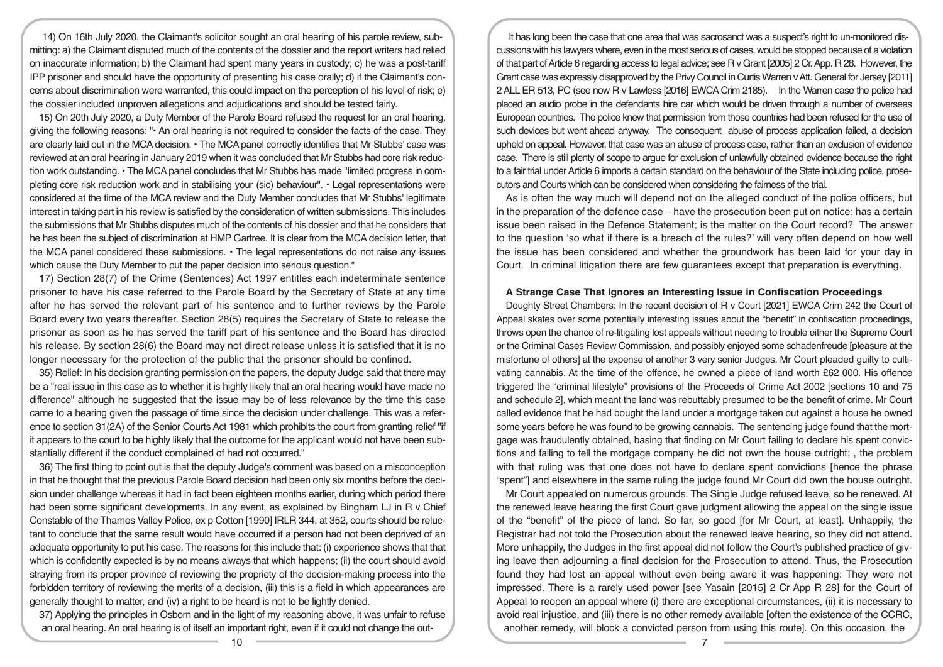14) On 16th July 2020, the Claimant's solicitor sought an oral hearing of his parole review, submitting: a) the Claimant disputed much of the contents of the dossier and the report writers had relied on inaccurate information; b) the Claimant had spent many years in custody; c) he was a post-tariff IPP prisoner and should have the opportunity of presenting his case orally; d) if the Claimant's concerns about discrimination were warranted, this could impact on the perception of his level of risk; e) the dossier included unproven allegations and adjudications and should be tested fairly.

15) On 20th July 2020, a Duty Member of the Parole Board refused the request for an oral hearing, giving the following reasons: "• An oral hearing is not required to consider the facts of the case. They are clearly laid out in the MCA decision. • The MCA panel correctly identifies that Mr Stubbs' case was reviewed at an oral hearing in January 2019 when it was concluded that Mr Stubbs had core risk reduction work outstanding. • The MCA panel concludes that Mr Stubbs has made "limited progress in completing core risk reduction work and in stabilising your (sic) behaviour". • Legal representations were considered at the time of the MCA review and the Duty Member concludes that Mr Stubbs' legitimate interest in taking part in his review is satisfied by the consideration of written submissions. This includes the submissions that Mr Stubbs disputes much of the contents of his dossier and that he considers that he has been the subject of discrimination at HMP Gartree. It is clear from the MCA decision letter, that the MCA panel considered these submissions. • The legal representations do not raise any issues which cause the Duty Member to put the paper decision into serious question."

17) Section 28(7) of the Crime (Sentences) Act 1997 entitles each indeterminate sentence prisoner to have his case referred to the Parole Board by the Secretary of State at any time after he has served the relevant part of his sentence and to further reviews by the Parole Board every two years thereafter. Section 28(5) requires the Secretary of State to release the prisoner as soon as he has served the tariff part of his sentence and the Board has directed his release. By section 28(6) the Board may not direct release unless it is satisfied that it is no longer necessary for the protection of the public that the prisoner should be confined.

35) Relief: In his decision granting permission on the papers, the deputy Judge said that there may be a "real issue in this case as to whether it is highly likely that an oral hearing would have made no difference" although he suggested that the issue may be of less relevance by the time this case came to a hearing given the passage of time since the decision under challenge. This was a reference to section 31(2A) of the Senior Courts Act 1981 which prohibits the court from granting relief "if it appears to the court to be highly likely that the outcome for the applicant would not have been substantially different if the conduct complained of had not occurred."

36) The first thing to point out is that the deputy Judge's comment was based on a misconception in that he thought that the previous Parole Board decision had been only six months before the decision under challenge whereas it had in fact been eighteen months earlier, during which period there had been some significant developments. In any event, as explained by Bingham LJ in R v Chief Constable of the Thames Valley Police, ex p Cotton [1990] IRLR 344, at 352, courts should be reluctant to conclude that the same result would have occurred if a person had not been deprived of an adequate opportunity to put his case. The reasons for this include that: (i) experience shows that that which is confidently expected is by no means always that which happens; (ii) the court should avoid straying from its proper province of reviewing the propriety of the decision-making process into the forbidden territory of reviewing the merits of a decision, (iii) this is a field in which appearances are generally thought to matter, and (iv) a right to be heard is not to be lightly denied.

37) Applying the principles in Osborn and in the light of my reasoning above, it was unfair to refuse an oral hearing. An oral hearing is of itself an important right, even if it could not change the out-

It has long been the case that one area that was sacrosanct was a suspect's right to un-monitored discussions with his lawyers where, even in the most serious of cases, would be stopped because of a violation of that part of Article 6 regarding access to legal advice; see R v Grant [2005] 2 Cr. App. R 28. However, the Grant case was expressly disapproved by the Privy Council in Curtis Warren v Att. General for Jersey [2011] 2 ALL ER 513, PC (see now R v Lawless [2016] EWCA Crim 2185). In the Warren case the police had placed an audio probe in the defendants hire car which would be driven through a number of overseas European countries. The police knew that permission from those countries had been refused for the use of such devices but went ahead anyway. The consequent abuse of process application failed, a decision upheld on appeal. However, that case was an abuse of process case, rather than an exclusion of evidence case. There is still plenty of scope to argue for exclusion of unlawfully obtained evidence because the right to a fair trial under Article 6 imports a certain standard on the behaviour of the State including police, prosecutors and Courts which can be considered when considering the fairness of the trial.

As is often the way much will depend not on the alleged conduct of the police officers, but in the preparation of the defence case – have the prosecution been put on notice; has a certain issue been raised in the Defence Statement; is the matter on the Court record? The answer to the question 'so what if there is a breach of the rules?' will very often depend on how well the issue has been considered and whether the groundwork has been laid for your day in Court. In criminal litigation there are few guarantees except that preparation is everything.

#### **A Strange Case That Ignores an Interesting Issue in Confiscation Proceedings**

Doughty Street Chambers: In the recent decision of R v Court [2021] EWCA Crim 242 the Court of Appeal skates over some potentially interesting issues about the "benefit" in confiscation proceedings, throws open the chance of re-litigating lost appeals without needing to trouble either the Supreme Court or the Criminal Cases Review Commission, and possibly enjoyed some schadenfreude [pleasure at the misfortune of others] at the expense of another 3 very senior Judges. Mr Court pleaded guilty to cultivating cannabis. At the time of the offence, he owned a piece of land worth £62 000. His offence triggered the "criminal lifestyle" provisions of the Proceeds of Crime Act 2002 [sections 10 and 75 and schedule 2], which meant the land was rebuttably presumed to be the benefit of crime. Mr Court called evidence that he had bought the land under a mortgage taken out against a house he owned some years before he was found to be growing cannabis. The sentencing judge found that the mortgage was fraudulently obtained, basing that finding on Mr Court failing to declare his spent convictions and failing to tell the mortgage company he did not own the house outright; , the problem with that ruling was that one does not have to declare spent convictions [hence the phrase "spent"] and elsewhere in the same ruling the judge found Mr Court did own the house outright.

Mr Court appealed on numerous grounds. The Single Judge refused leave, so he renewed. At the renewed leave hearing the first Court gave judgment allowing the appeal on the single issue of the "benefit" of the piece of land. So far, so good [for Mr Court, at least]. Unhappily, the Registrar had not told the Prosecution about the renewed leave hearing, so they did not attend. More unhappily, the Judges in the first appeal did not follow the Court's published practice of giving leave then adjourning a final decision for the Prosecution to attend. Thus, the Prosecution found they had lost an appeal without even being aware it was happening: They were not impressed. There is a rarely used power [see Yasain [2015] 2 Cr App R 28] for the Court of Appeal to reopen an appeal where (i) there are exceptional circumstances, (ii) it is necessary to avoid real injustice, and (iii) there is no other remedy available [often the existence of the CCRC, another remedy, will block a convicted person from using this route]. On this occasion, the